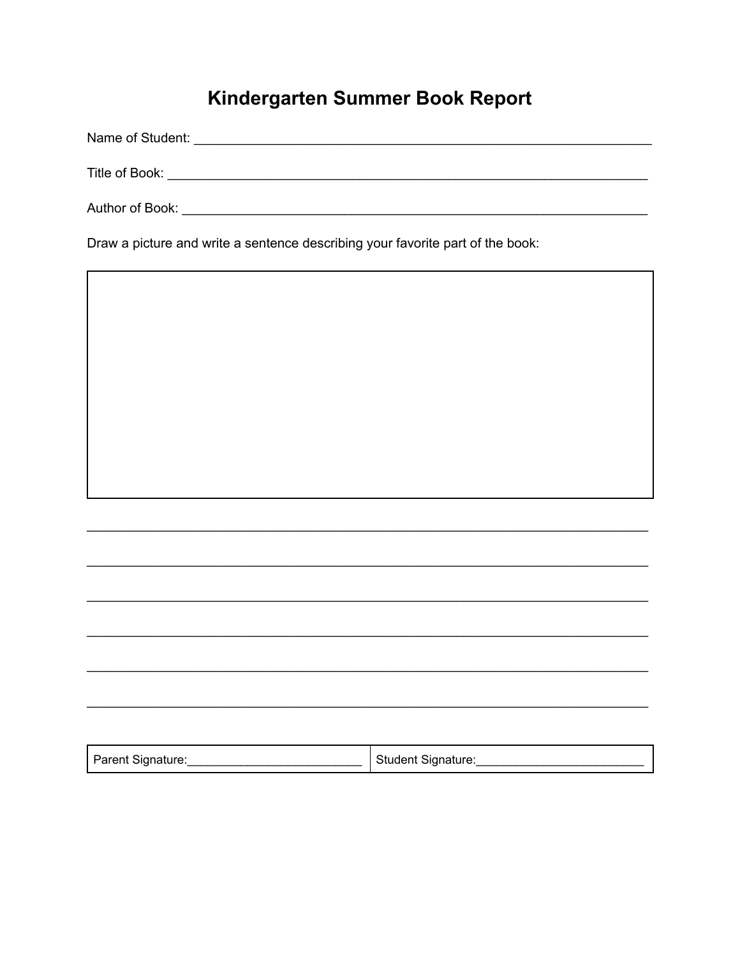## Kindergarten Summer Book Report

Title of Book: New York State of Book: 

Draw a picture and write a sentence describing your favorite part of the book:

| Parent Signature: | Student Signature: |
|-------------------|--------------------|
|                   |                    |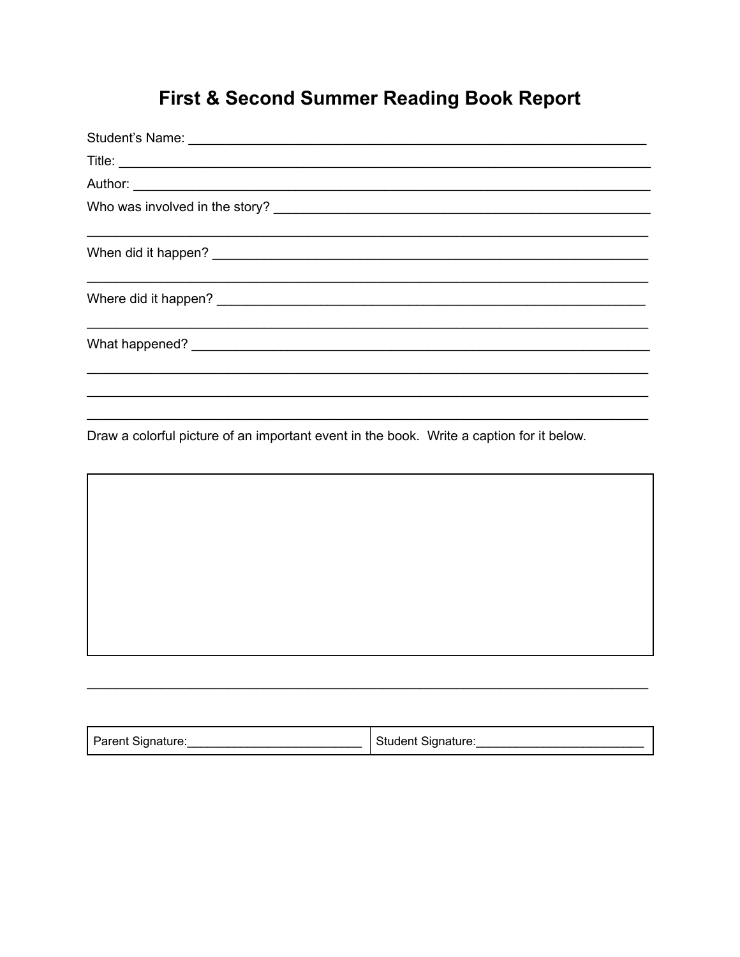## First & Second Summer Reading Book Report

| Author: <u>Authority and the contract of the contract of the contract of the contract of the contract of the contract of the contract of the contract of the contract of the contract of the contract of the contract of the con</u> |
|--------------------------------------------------------------------------------------------------------------------------------------------------------------------------------------------------------------------------------------|
|                                                                                                                                                                                                                                      |
|                                                                                                                                                                                                                                      |
|                                                                                                                                                                                                                                      |
|                                                                                                                                                                                                                                      |
|                                                                                                                                                                                                                                      |

Draw a colorful picture of an important event in the book. Write a caption for it below.

| Parent Signature: | Student Signature: |
|-------------------|--------------------|
|-------------------|--------------------|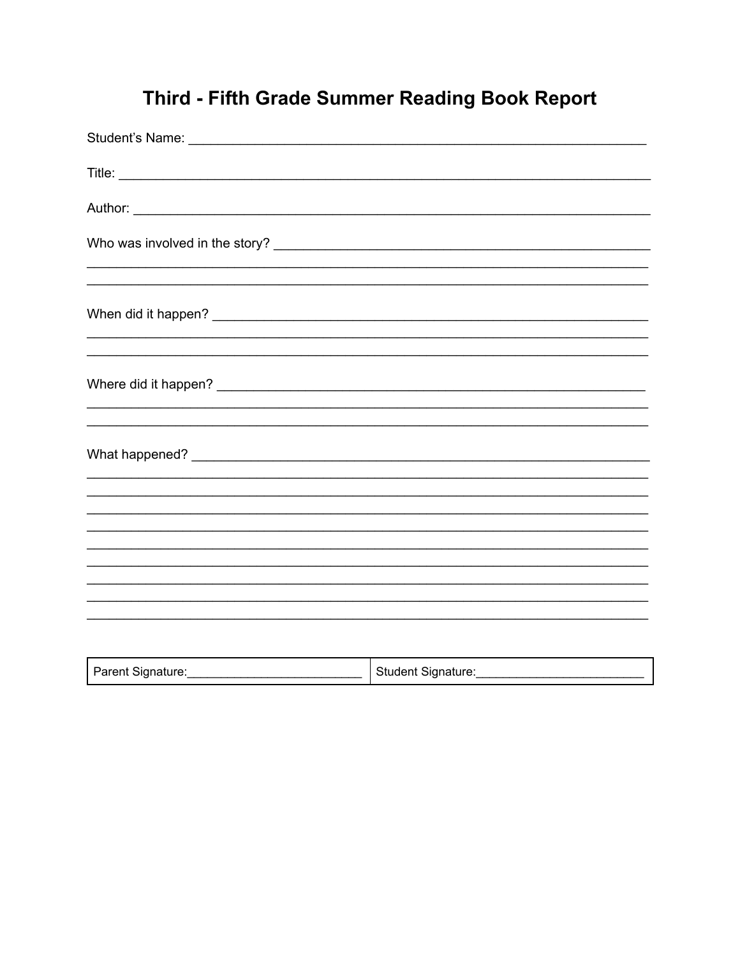## Third - Fifth Grade Summer Reading Book Report

| Parent Signature: | Student Signature: |
|-------------------|--------------------|
|-------------------|--------------------|